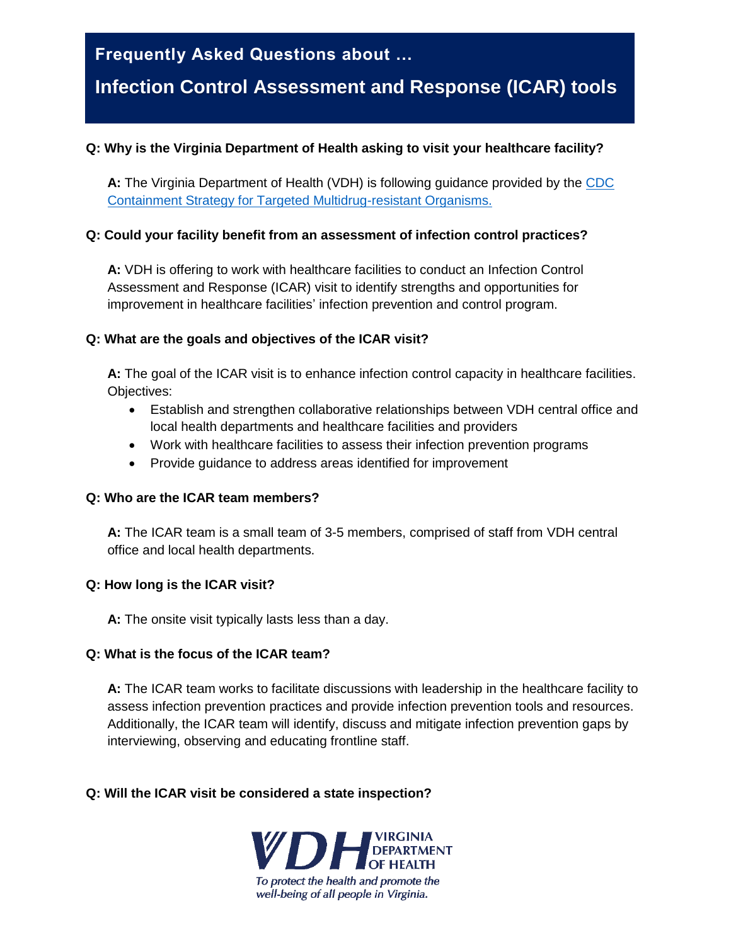## **Frequently Asked Questions about …**

# **Infection Control Assessment and Response (ICAR) tools**

#### **Q: Why is the Virginia Department of Health asking to visit your healthcare facility?**

**A:** The Virginia Department of Health (VDH) is following guidance provided by the [CDC](https://www.cdc.gov/hai/containment/guidelines.html)  [Containment Strategy for Targeted Multidrug-resistant Organisms.](https://www.cdc.gov/hai/containment/guidelines.html)

#### **Q: Could your facility benefit from an assessment of infection control practices?**

**A:** VDH is offering to work with healthcare facilities to conduct an Infection Control Assessment and Response (ICAR) visit to identify strengths and opportunities for improvement in healthcare facilities' infection prevention and control program.

#### **Q: What are the goals and objectives of the ICAR visit?**

**A:** The goal of the ICAR visit is to enhance infection control capacity in healthcare facilities. Objectives:

- Establish and strengthen collaborative relationships between VDH central office and local health departments and healthcare facilities and providers
- Work with healthcare facilities to assess their infection prevention programs
- Provide guidance to address areas identified for improvement

#### **Q: Who are the ICAR team members?**

**A:** The ICAR team is a small team of 3-5 members, comprised of staff from VDH central office and local health departments.

#### **Q: How long is the ICAR visit?**

**A:** The onsite visit typically lasts less than a day.

#### **Q: What is the focus of the ICAR team?**

**A:** The ICAR team works to facilitate discussions with leadership in the healthcare facility to assess infection prevention practices and provide infection prevention tools and resources. Additionally, the ICAR team will identify, discuss and mitigate infection prevention gaps by interviewing, observing and educating frontline staff.

#### **Q: Will the ICAR visit be considered a state inspection?**